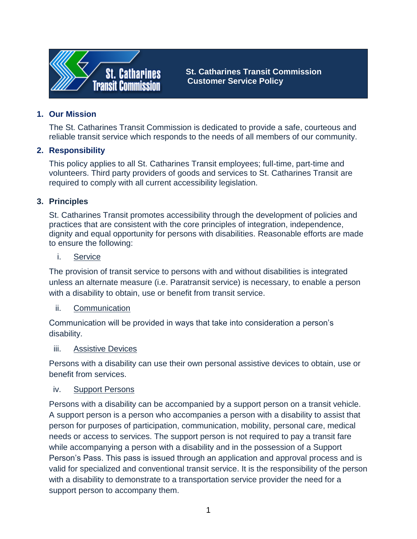

 **St. Catharines Transit Commission Customer Service Policy** 

## **1. Our Mission**

The St. Catharines Transit Commission is dedicated to provide a safe, courteous and reliable transit service which responds to the needs of all members of our community.

## **2. Responsibility**

This policy applies to all St. Catharines Transit employees; full-time, part-time and volunteers. Third party providers of goods and services to St. Catharines Transit are required to comply with all current accessibility legislation.

## **3. Principles**

St. Catharines Transit promotes accessibility through the development of policies and practices that are consistent with the core principles of integration, independence, dignity and equal opportunity for persons with disabilities. Reasonable efforts are made to ensure the following:

#### i. Service

The provision of transit service to persons with and without disabilities is integrated unless an alternate measure (i.e. Paratransit service) is necessary, to enable a person with a disability to obtain, use or benefit from transit service.

### ii. Communication

Communication will be provided in ways that take into consideration a person's disability.

### iii. Assistive Devices

Persons with a disability can use their own personal assistive devices to obtain, use or benefit from services.

### iv. Support Persons

Persons with a disability can be accompanied by a support person on a transit vehicle. A support person is a person who accompanies a person with a disability to assist that person for purposes of participation, communication, mobility, personal care, medical needs or access to services. The support person is not required to pay a transit fare while accompanying a person with a disability and in the possession of a Support Person's Pass. This pass is issued through an application and approval process and is valid for specialized and conventional transit service. It is the responsibility of the person with a disability to demonstrate to a transportation service provider the need for a support person to accompany them.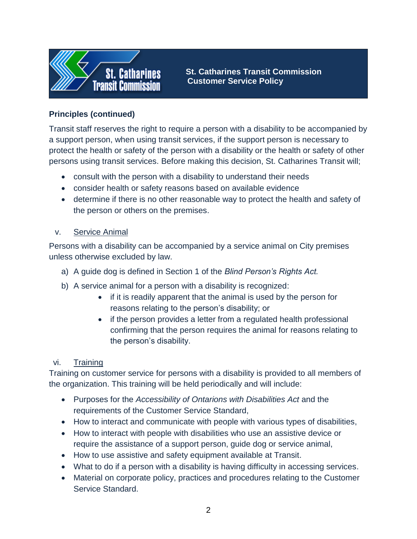

 **St. Catharines Transit Commission Customer Service Policy** 

# **Principles (continued)**

Transit staff reserves the right to require a person with a disability to be accompanied by a support person, when using transit services, if the support person is necessary to protect the health or safety of the person with a disability or the health or safety of other persons using transit services. Before making this decision, St. Catharines Transit will;

- consult with the person with a disability to understand their needs
- consider health or safety reasons based on available evidence
- determine if there is no other reasonable way to protect the health and safety of the person or others on the premises.

## v. Service Animal

Persons with a disability can be accompanied by a service animal on City premises unless otherwise excluded by law.

- a) A guide dog is defined in Section 1 of the *Blind Person's Rights Act.*
- b) A service animal for a person with a disability is recognized:
	- if it is readily apparent that the animal is used by the person for reasons relating to the person's disability; or
	- if the person provides a letter from a regulated health professional confirming that the person requires the animal for reasons relating to the person's disability.

## vi. Training

Training on customer service for persons with a disability is provided to all members of the organization. This training will be held periodically and will include:

- Purposes for the *Accessibility of Ontarions with Disabilities Act* and the requirements of the Customer Service Standard,
- How to interact and communicate with people with various types of disabilities,
- How to interact with people with disabilities who use an assistive device or require the assistance of a support person, guide dog or service animal,
- How to use assistive and safety equipment available at Transit.
- What to do if a person with a disability is having difficulty in accessing services.
- Material on corporate policy, practices and procedures relating to the Customer Service Standard.